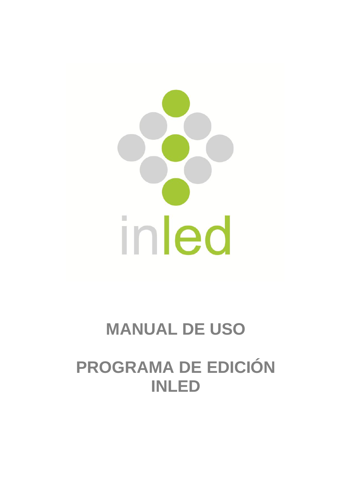

## **MANUAL DE USO**

# **PROGRAMA DE EDICIÓN INLED**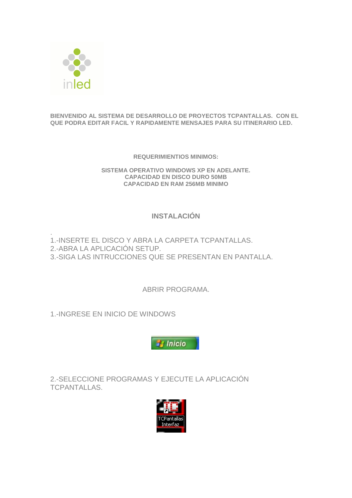

#### **BIENVENIDO AL SISTEMA DE DESARROLLO DE PROYECTOS TCPANTALLAS. CON EL QUE PODRA EDITAR FACIL Y RAPIDAMENTE MENSAJES PARA SU ITINERARIO LED.**

**REQUERIMIENTIOS MINIMOS:**

**SISTEMA OPERATIVO WINDOWS XP EN ADELANTE. CAPACIDAD EN DISCO DURO 50MB CAPACIDAD EN RAM 256MB MINIMO**

#### **INSTALACIÓN**

. 1.-INSERTE EL DISCO Y ABRA LA CARPETA TCPANTALLAS. 2.-ABRA LA APLICACIÓN SETUP. 3.-SIGA LAS INTRUCCIONES QUE SE PRESENTAN EN PANTALLA.

ABRIR PROGRAMA.

1.-INGRESE EN INICIO DE WINDOWS



2.-SELECCIONE PROGRAMAS Y EJECUTE LA APLICACIÓN TCPANTALLAS.

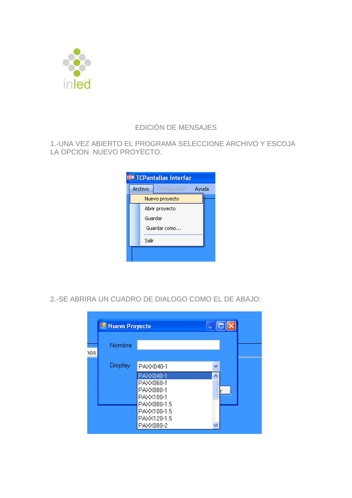

#### EDICIÓN DE MENSAJES

#### 1.-UNA VEZ ABIERTO EL PROGRAMA SELECCIONE ARCHIVO Y ESCOJA LA OPCION NUEVO PROYECTO.



2.-SE ABRIRA UN CUADRO DE DIALOGO COMO EL DE ABAJO:

|     | Nuevo Proyecto |                                                                 | $   \Box  \times$ |  |
|-----|----------------|-----------------------------------------------------------------|-------------------|--|
| 1OS | Nombre         |                                                                 |                   |  |
|     | Display        | PAXX040-1                                                       | w                 |  |
|     |                | PAXX040-1<br>PAXX060-1<br>PAXX080-1<br>PAXX100-1<br>PAXX080-1.5 |                   |  |
|     |                | PAXX100-1.5<br>PAXX120-1.5<br>PAXX080-2                         |                   |  |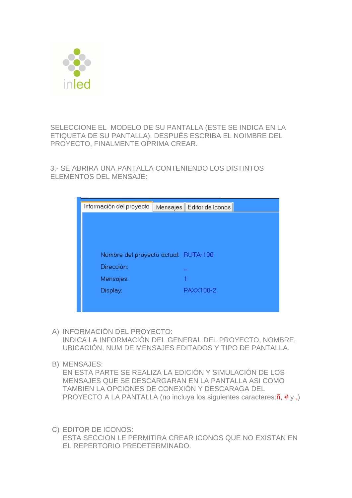

SELECCIONE EL MODELO DE SU PANTALLA (ESTE SE INDICA EN LA ETIQUETA DE SU PANTALLA). DESPUÉS ESCRIBA EL NOIMBRE DEL PROYECTO, FINALMENTE OPRIMA CREAR.

3.- SE ABRIRA UNA PANTALLA CONTENIENDO LOS DISTINTOS ELEMENTOS DEL MENSAJE:

| Información del proyecto | Editor de Iconos<br>Mensajes         |
|--------------------------|--------------------------------------|
|                          |                                      |
|                          |                                      |
|                          |                                      |
| Dirección:               | Nombre del proyecto actual: RUTA-100 |
| Mensajes:                |                                      |
| Display:                 | PAXX100-2                            |
|                          |                                      |
|                          |                                      |

- A) INFORMACIÓN DEL PROYECTO: INDICA LA INFORMACIÓN DEL GENERAL DEL PROYECTO, NOMBRE, UBICACIÓN, NUM DE MENSAJES EDITADOS Y TIPO DE PANTALLA.
- B) MENSAJES:

EN ESTA PARTE SE REALIZA LA EDICIÓN Y SIMULACIÓN DE LOS MENSAJES QUE SE DESCARGARAN EN LA PANTALLA ASI COMO TAMBIEN LA OPCIONES DE CONEXIÓN Y DESCARAGA DEL PROYECTO A LA PANTALLA (no incluya los siguientes caracteres:ñ, # y ,)

C) EDITOR DE ICONOS: ESTA SECCION LE PERMITIRA CREAR ICONOS QUE NO EXISTAN EN EL REPERTORIO PREDETERMINADO.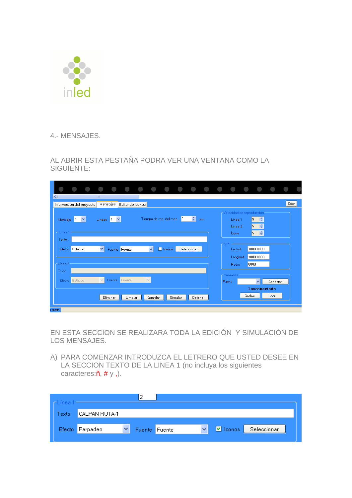

4.- MENSAJES.

AL ABRIR ESTA PESTAÑA PODRA VER UNA VENTANA COMO LA SIGUIENTE:

| ≺∥                         | Información del proyecto | $\mathbb{H} \mathbb{H}$ | Mensajes          | Editor de Iconos |        |              |                           |             |      |                                         |        |                                 |          | Color |  |
|----------------------------|--------------------------|-------------------------|-------------------|------------------|--------|--------------|---------------------------|-------------|------|-----------------------------------------|--------|---------------------------------|----------|-------|--|
| Mensaje                    | $\checkmark$<br>11.      |                         | Lineas $1 \times$ |                  |        |              | Tiempo de rep. del men. 0 | $\div$      | min. | r Velocidad de reproducción:<br>Línea 1 |        | ÷<br>5                          |          |       |  |
| $r$ Línea 1                |                          |                         |                   |                  |        |              |                           |             |      | Línea 2<br>fcono.                       | 5      | $\ddot{\ddot{}}$<br>$\div$<br>5 |          |       |  |
| Texto                      |                          |                         |                   |                  |        |              |                           |             |      | GPS                                     |        |                                 |          |       |  |
|                            | Efecto Estático          | $\checkmark$            |                   | Fuente Fuente    |        | $\checkmark$ | <b>lconos</b>             | Seleccionar |      | Latitud<br>Longitud                     |        | $+000,0000$<br>$+000,0000$      |          |       |  |
| $\Gamma$ Línea 2-<br>Texto |                          |                         |                   |                  |        |              |                           |             |      | Radio                                   | 0000   |                                 |          |       |  |
|                            | Efecto Estático          | $\vee$                  | Fuente Fuente     |                  | $\vee$ |              |                           |             |      | Conexión:<br>Puerto                     |        | $\checkmark$                    | Conectar |       |  |
|                            |                          |                         | Eliminar          | Limpiar          |        | Guardar      | Simular                   | Detener     |      |                                         | Grabar | <b>Desconectado</b>             | Leer     |       |  |
| <b>Estado</b>              |                          |                         |                   |                  |        |              |                           |             |      |                                         |        |                                 |          |       |  |

EN ESTA SECCION SE REALIZARA TODA LA EDICIÓN Y SIMULACIÓN DE LOS MENSAJES.

A) PARA COMENZAR INTRODUZCA EL LETRERO QUE USTED DESEE EN LA SECCION TEXTO DE LA LINEA 1 (no incluya los siguientes caracteres:ñ, # y ,).

| línea. |                 |               |  |             |             |
|--------|-----------------|---------------|--|-------------|-------------|
| Fextol | ICALPAN RUTA-1  |               |  |             |             |
|        | Efecto Parpadeo | Fuente Fuente |  | lconos<br>▿ | Seleccionar |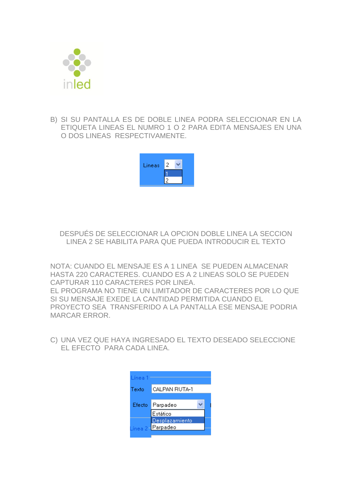

B) SI SU PANTALLA ES DE DOBLE LINEA PODRA SELECCIONAR EN LA ETIQUETA LINEAS EL NUMRO 1 O 2 PARA EDITA MENSAJES EN UNA O DOS LINEAS RESPECTIVAMENTE.



DESPUÉS DE SELECCIONAR LA OPCION DOBLE LINEA LA SECCION LINEA 2 SE HABILITA PARA QUE PUEDA INTRODUCIR EL TEXTO

NOTA: CUANDO EL MENSAJE ES A 1 LINEA SE PUEDEN ALMACENAR HASTA 220 CARACTERES. CUANDO ES A 2 LINEAS SOLO SE PUEDEN CAPTURAR 110 CARACTERES POR LINEA. EL PROGRAMA NO TIENE UN LIMITADOR DE CARACTERES POR LO QUE SI SU MENSAJE EXEDE LA CANTIDAD PERMITIDA CUANDO EL PROYECTO SEA TRANSFERIDO A LA PANTALLA ESE MENSAJE PODRIA MARCAR ERROR.

C) UNA VEZ QUE HAYA INGRESADO EL TEXTO DESEADO SELECCIONE EL EFECTO PARA CADA LINEA.

| Línea 1 |                                   |  |
|---------|-----------------------------------|--|
| Texto   | CALPAN RUTA-1                     |  |
| Efecto  | Parpadeo                          |  |
|         | Estático                          |  |
|         | Desplazamiento<br>inea 2-Parpadeo |  |
|         |                                   |  |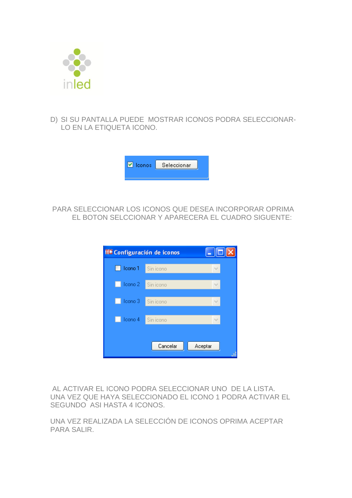

D) SI SU PANTALLA PUEDE MOSTRAR ICONOS PODRA SELECCIONAR-LO EN LA ETIQUETA ICONO.



PARA SELECCIONAR LOS ICONOS QUE DESEA INCORPORAR OPRIMA EL BOTON SELCCIONAR Y APARECERA EL CUADRO SIGUENTE:

| <b>IT Configuración de iconos</b><br>l - II - |           |         |  |  |  |  |  |  |
|-----------------------------------------------|-----------|---------|--|--|--|--|--|--|
| Icono 1                                       | Sin icono |         |  |  |  |  |  |  |
| Icono 2                                       | Sin icono |         |  |  |  |  |  |  |
| Icono 3                                       | Sin icono |         |  |  |  |  |  |  |
| Icono 4                                       | Sin icono |         |  |  |  |  |  |  |
|                                               |           |         |  |  |  |  |  |  |
|                                               | Cancelar  | Aceptar |  |  |  |  |  |  |

AL ACTIVAR EL ICONO PODRA SELECCIONAR UNO DE LA LISTA. UNA VEZ QUE HAYA SELECCIONADO EL ICONO 1 PODRA ACTIVAR EL SEGUNDO ASI HASTA 4 ICONOS.

UNA VEZ REALIZADA LA SELECCIÓN DE ICONOS OPRIMA ACEPTAR PARA SALIR.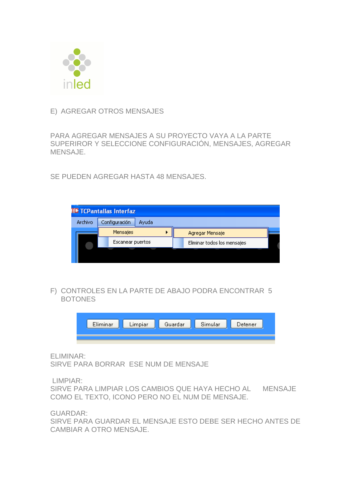

#### E) AGREGAR OTROS MENSAJES

PARA AGREGAR MENSAJES A SU PROYECTO VAYA A LA PARTE SUPERIROR Y SELECCIONE CONFIGURACIÓN, MENSAJES, AGREGAR MENSAJE.

SE PUEDEN AGREGAR HASTA 48 MENSAJES.



F) CONTROLES EN LA PARTE DE ABAJO PODRA ENCONTRAR 5 BOTONES



ELIMINAR:

SIRVE PARA BORRAR ESE NUM DE MENSAJE

LIMPIAR:

SIRVE PARA LIMPIAR LOS CAMBIOS QUE HAYA HECHO AL MENSAJE COMO EL TEXTO, ICONO PERO NO EL NUM DE MENSAJE.

GUARDAR:

SIRVE PARA GUARDAR EL MENSAJE ESTO DEBE SER HECHO ANTES DE CAMBIAR A OTRO MENSAJE.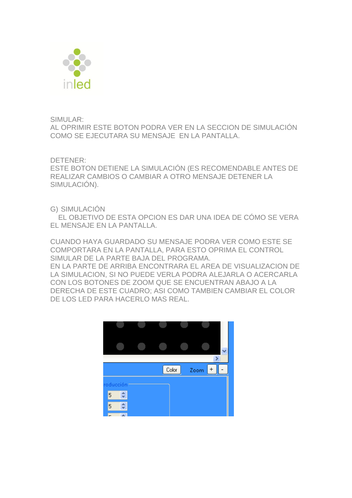

SIMULAR:

AL OPRIMIR ESTE BOTON PODRA VER EN LA SECCION DE SIMULACIÓN COMO SE EJECUTARA SU MENSAJE EN LA PANTALLA.

DETENER:

ESTE BOTON DETIENE LA SIMULACIÓN (ES RECOMENDABLE ANTES DE REALIZAR CAMBIOS O CAMBIAR A OTRO MENSAJE DETENER LA SIMULACIÓN).

G) SIMULACIÓN

 EL OBJETIVO DE ESTA OPCION ES DAR UNA IDEA DE CÓMO SE VERA EL MENSAJE EN LA PANTALLA.

CUANDO HAYA GUARDADO SU MENSAJE PODRA VER COMO ESTE SE COMPORTARA EN LA PANTALLA, PARA ESTO OPRIMA EL CONTROL SIMULAR DE LA PARTE BAJA DEL PROGRAMA. EN LA PARTE DE ARRIBA ENCONTRARA EL AREA DE VISUALIZACION DE LA SIMULACION, SI NO PUEDE VERLA PODRA ALEJARLA O ACERCARLA CON LOS BOTONES DE ZOOM QUE SE ENCUENTRAN ABAJO A LA DERECHA DE ESTE CUADRO; ASI COMO TAMBIEN CAMBIAR EL COLOR DE LOS LED PARA HACERLO MAS REAL.

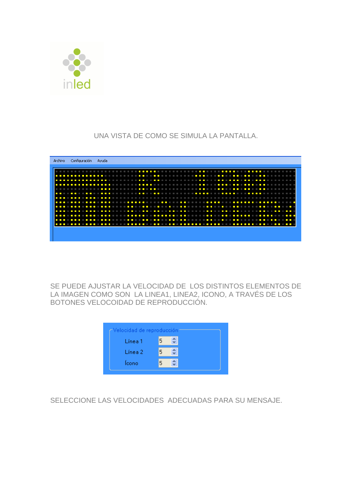

UNA VISTA DE COMO SE SIMULA LA PANTALLA.



SE PUEDE AJUSTAR LA VELOCIDAD DE LOS DISTINTOS ELEMENTOS DE LA IMAGEN COMO SON LA LINEA1, LINEA2, ICONO, A TRAVÉS DE LOS BOTONES VELOCOIDAD DE REPRODUCCIÓN.

| Línea 1<br>Línea 2.<br>fcono | $\mathord{\hspace{1pt}\text{--}\hspace{1pt}}$ Velocidad de reproducción $\mathord{\hspace{1pt}\text{--}\hspace{1pt}}$ |  |  |  |  |  |  |  |
|------------------------------|-----------------------------------------------------------------------------------------------------------------------|--|--|--|--|--|--|--|
|                              |                                                                                                                       |  |  |  |  |  |  |  |
|                              |                                                                                                                       |  |  |  |  |  |  |  |
|                              |                                                                                                                       |  |  |  |  |  |  |  |

SELECCIONE LAS VELOCIDADES ADECUADAS PARA SU MENSAJE.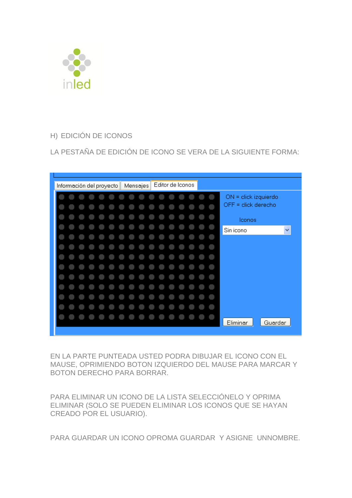

### H) EDICIÓN DE ICONOS

LA PESTAÑA DE EDICIÓN DE ICONO SE VERA DE LA SIGUIENTE FORMA:



EN LA PARTE PUNTEADA USTED PODRA DIBUJAR EL ICONO CON EL MAUSE, OPRIMIENDO BOTON IZQUIERDO DEL MAUSE PARA MARCAR Y BOTON DERECHO PARA BORRAR.

PARA ELIMINAR UN ICONO DE LA LISTA SELECCIÓNELO Y OPRIMA ELIMINAR (SOLO SE PUEDEN ELIMINAR LOS ICONOS QUE SE HAYAN CREADO POR EL USUARIO).

PARA GUARDAR UN ICONO OPROMA GUARDAR Y ASIGNE UNNOMBRE.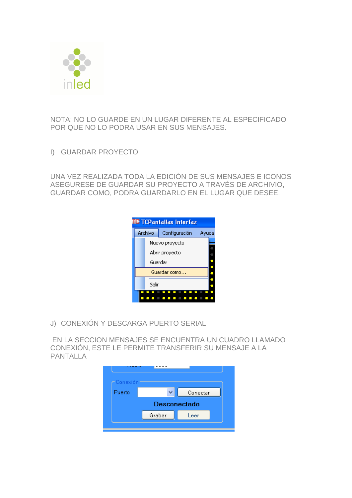

NOTA: NO LO GUARDE EN UN LUGAR DIFERENTE AL ESPECIFICADO POR QUE NO LO PODRA USAR EN SUS MENSAJES.

I) GUARDAR PROYECTO

UNA VEZ REALIZADA TODA LA EDICIÓN DE SUS MENSAJES E ICONOS ASEGURESE DE GUARDAR SU PROYECTO A TRAVÉS DE ARCHIVIO, GUARDAR COMO, PODRA GUARDARLO EN EL LUGAR QUE DESEE.



J) CONEXIÓN Y DESCARGA PUERTO SERIAL

EN LA SECCION MENSAJES SE ENCUENTRA UN CUADRO LLAMADO CONEXIÓN, ESTE LE PERMITE TRANSFERIR SU MENSAJE A LA PANTALLA

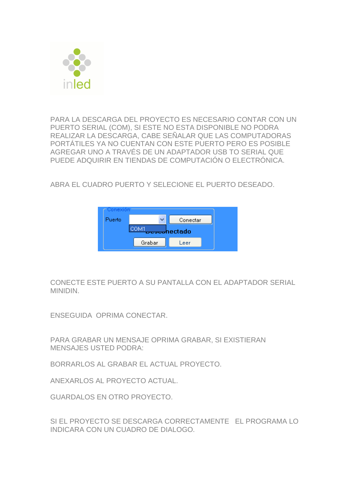

PARA LA DESCARGA DEL PROYECTO ES NECESARIO CONTAR CON UN PUERTO SERIAL (COM), SI ESTE NO ESTA DISPONIBLE NO PODRA REALIZAR LA DESCARGA, CABE SEÑALAR QUE LAS COMPUTADORAS PORTÁTILES YA NO CUENTAN CON ESTE PUERTO PERO ES POSIBLE AGREGAR UNO A TRAVÉS DE UN ADAPTADOR USB TO SERIAL QUE PUEDE ADQUIRIR EN TIENDAS DE COMPUTACIÓN O ELECTRÓNICA.

ABRA EL CUADRO PUERTO Y SELECIONE EL PUERTO DESEADO.



CONECTE ESTE PUERTO A SU PANTALLA CON EL ADAPTADOR SERIAL MINIDIN.

ENSEGUIDA OPRIMA CONECTAR.

PARA GRABAR UN MENSAJE OPRIMA GRABAR, SI EXISTIERAN MENSAJES USTED PODRA:

BORRARLOS AL GRABAR EL ACTUAL PROYECTO.

ANEXARLOS AL PROYECTO ACTUAL.

GUARDALOS EN OTRO PROYECTO.

SI EL PROYECTO SE DESCARGA CORRECTAMENTE EL PROGRAMA LO INDICARA CON UN CUADRO DE DIALOGO.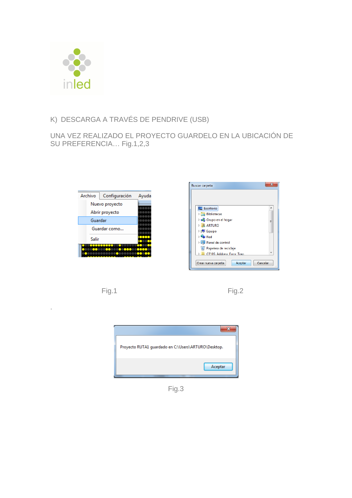

#### K) DESCARGA A TRAVÉS DE PENDRIVE (USB)

UNA VEZ REALIZADO EL PROYECTO GUARDELO EN LA UBICACIÓN DE SU PREFERENCIA… Fig.1,2,3







.





Fig.3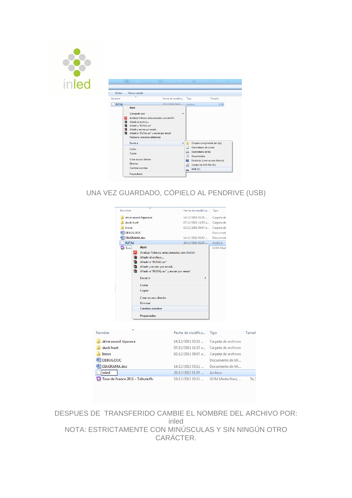

| Grabar       |    | Nueva carpeta<br>×                          |                        |   |                                   |        |  |
|--------------|----|---------------------------------------------|------------------------|---|-----------------------------------|--------|--|
| Nombre       |    |                                             | Fecha de modifica Tipo |   |                                   | Tamaño |  |
| <b>RUTA1</b> |    |                                             | 20/12/2011 01:05.      |   | <b>Archivo</b>                    | $1$ KB |  |
|              |    | <b>Abrir</b>                                |                        |   |                                   |        |  |
|              |    | Compartir con                               | ь                      |   |                                   |        |  |
|              | ΙQ | Analizar ficheros seleccionados con AntiVir |                        |   |                                   |        |  |
|              | €  | Añadir al archivo                           |                        |   |                                   |        |  |
|              | 建  | Añadir a "RUTA1.rar"                        |                        |   |                                   |        |  |
|              | 建  | Añadir y enviar por email                   |                        |   |                                   |        |  |
|              |    | Añadir a "RUTA1.rar" y enviar por email     |                        |   |                                   |        |  |
|              |    | <b>Restaurar versiones anteriores</b>       |                        |   |                                   |        |  |
|              |    | <b>Enviar a</b>                             | $\mathbf{r}$           |   | Carpeta comprimida (en zip)       |        |  |
|              |    | Cortar                                      |                        | a | Destinatario de correo            |        |  |
|              |    | Copiar                                      |                        | 匷 | Destinatario de fax               |        |  |
|              |    |                                             |                        | R | Documentos                        |        |  |
|              |    | Crear acceso directo                        |                        |   | Escritorio (crear acceso directo) |        |  |
|              |    | Eliminar                                    |                        | ᅽ | Unidad de DVD RW (D:)             |        |  |
|              |    | Cambiar nombre                              |                        |   | $EMR$ $(F2)$                      |        |  |
|              |    | Propiedades                                 |                        |   |                                   |        |  |

UNA VEZ GUARDADO, CÓPIELO AL PENDRIVE (USB)

|                                   | Nombre               |               | z                                                                                                                                                                                  | Fecha de modifica  | Tipo                |       |
|-----------------------------------|----------------------|---------------|------------------------------------------------------------------------------------------------------------------------------------------------------------------------------------|--------------------|---------------------|-------|
|                                   |                      |               | drive sound hiporace                                                                                                                                                               | 14/12/2011 03:31   | Carpeta de          |       |
|                                   | duck hunt            |               |                                                                                                                                                                                    | 07/12/2011 11:55 a | Carpeta de          |       |
|                                   | Inova                |               |                                                                                                                                                                                    | 02/12/2011 09:07 a | Carpeta de          |       |
|                                   | 四门<br>DEBUG.DOC      |               |                                                                                                                                                                                    |                    | Document            |       |
|                                   | DIAGRAMA.doc         |               |                                                                                                                                                                                    | 14/12/2011 05:52   | Document            |       |
|                                   | <b>RUTA1</b>         |               |                                                                                                                                                                                    | 20/12/2011 01:05   | Archivo             |       |
|                                   | <b>Full</b> Tour     | a<br>≘.<br>€. | <b>Abrir</b><br>Analizar ficheros seleccionados con AntiVir<br>Añadir al archivo<br>■ Añadir a "RUTA1.rar"<br>Añadir y enviar por email<br>Añadir a "RUTA1.rar" y enviar por email |                    | <b>GOM Med</b>      |       |
|                                   |                      |               | Enviar a                                                                                                                                                                           | Þ                  |                     |       |
|                                   |                      |               | Cortar<br>Copiar                                                                                                                                                                   |                    |                     |       |
|                                   |                      |               | Crear acceso directo<br>Eliminar                                                                                                                                                   |                    |                     |       |
|                                   |                      |               | Cambiar nombre                                                                                                                                                                     |                    |                     |       |
|                                   |                      |               | Propiedades                                                                                                                                                                        |                    |                     |       |
|                                   |                      |               |                                                                                                                                                                                    |                    |                     |       |
| Nombre                            |                      |               |                                                                                                                                                                                    | Fecha de modifica  | Tipo                | Tamañ |
|                                   | drive sound hiporace |               |                                                                                                                                                                                    | 14/12/2011 03:31   | Carpeta de archivos |       |
| duck hunt                         |                      |               |                                                                                                                                                                                    | 07/12/2011 11:55 a | Carpeta de archivos |       |
| Inova                             |                      |               |                                                                                                                                                                                    | 02/12/2011 09:07 a | Carpeta de archivos |       |
| DEBUG.DOC                         |                      |               |                                                                                                                                                                                    |                    | Documento de Mi     |       |
|                                   |                      |               |                                                                                                                                                                                    |                    |                     |       |
| DIAGRAMA.doc                      |                      |               |                                                                                                                                                                                    | 14/12/2011 05:52   | Documento de Mi     |       |
| inled                             |                      |               |                                                                                                                                                                                    | 20/12/2011 01:05   | Archivo             |       |
| Tour de France 2011 - Tribute.flv |                      |               |                                                                                                                                                                                    | 19/12/2011 10:32   | GOM Media files(    | 54.7  |

DESPUES DE TRANSFERIDO CAMBIE EL NOMBRE DEL ARCHIVO POR: inled NOTA: ESTRICTAMENTE CON MINÚSCULAS Y SIN NINGÚN OTRO CARÁCTER.